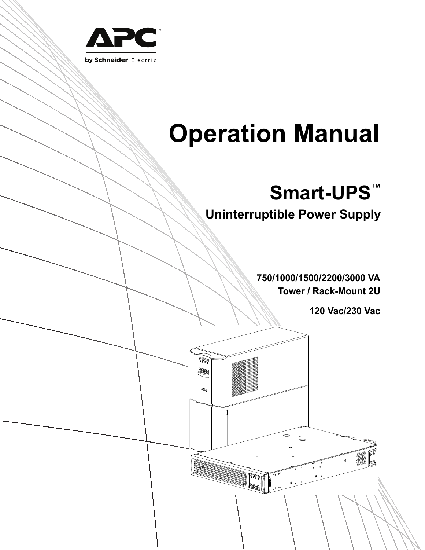

# **Operation Manual**

# **Smart-UPS™**

**Uninterruptible Power Supply**

**750/1000/1500/2200/3000 VA Tower / Rack-Mount 2U**

.<br>2

**120 Vac/230 Vac**

<u>su1011a</u>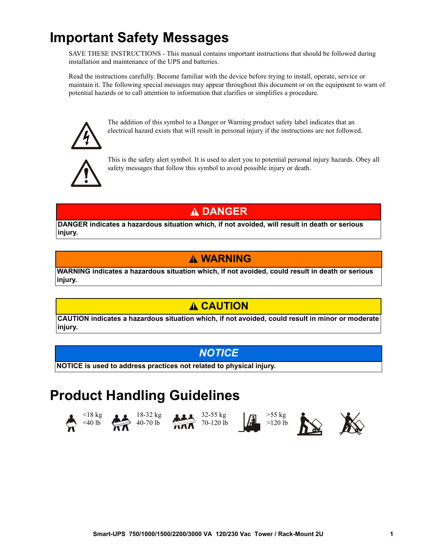### **Important Safety Messages**

SAVE THESE INSTRUCTIONS - This manual contains important instructions that should be followed during installation and maintenance of the UPS and batteries.

Read the instructions carefully. Become familiar with the device before trying to install, operate, service or maintain it. The following special messages may appear throughout this document or on the equipment to warn of potential hazards or to call attention to information that clarifies or simplifies a procedure.



The addition of this symbol to a Danger or Warning product safety label indicates that an electrical hazard exists that will result in personal injury if the instructions are not followed.



This is the safety alert symbol. It is used to alert you to potential personal injury hazards. Obey all safety messages that follow this symbol to avoid possible injury or death.

### **DANGER**

**DANGER indicates a hazardous situation which, if not avoided, will result in death or serious injury.**

### **WARNING**

**WARNING indicates a hazardous situation which, if not avoided, could result in death or serious injury.**

### **A CAUTION**

**CAUTION indicates a hazardous situation which, if not avoided, could result in minor or moderate injury.**

### *NOTICE*

**NOTICE is used to address practices not related to physical injury.**

### **Product Handling Guidelines**











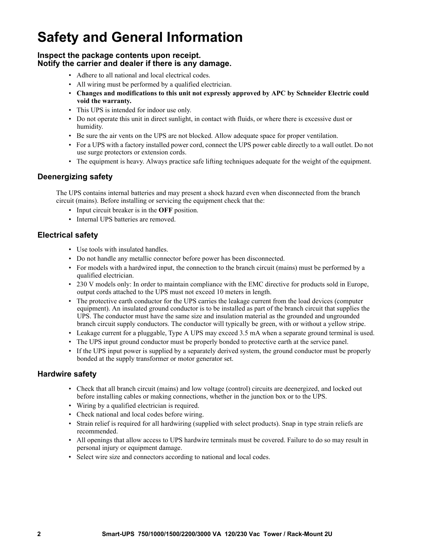## **Safety and General Information**

#### **Inspect the package contents upon receipt. Notify the carrier and dealer if there is any damage.**

- Adhere to all national and local electrical codes.
- All wiring must be performed by a qualified electrician.
- **Changes and modifications to this unit not expressly approved by APC by Schneider Electric could void the warranty.**
- This UPS is intended for indoor use only.
- Do not operate this unit in direct sunlight, in contact with fluids, or where there is excessive dust or humidity.
- Be sure the air vents on the UPS are not blocked. Allow adequate space for proper ventilation.
- For a UPS with a factory installed power cord, connect the UPS power cable directly to a wall outlet. Do not use surge protectors or extension cords.
- The equipment is heavy. Always practice safe lifting techniques adequate for the weight of the equipment.

#### **Deenergizing safety**

The UPS contains internal batteries and may present a shock hazard even when disconnected from the branch circuit (mains). Before installing or servicing the equipment check that the:

- Input circuit breaker is in the **OFF** position.
- Internal UPS batteries are removed.

#### **Electrical safety**

- Use tools with insulated handles.
- Do not handle any metallic connector before power has been disconnected.
- For models with a hardwired input, the connection to the branch circuit (mains) must be performed by a qualified electrician.
- 230 V models only: In order to maintain compliance with the EMC directive for products sold in Europe, output cords attached to the UPS must not exceed 10 meters in length.
- The protective earth conductor for the UPS carries the leakage current from the load devices (computer equipment). An insulated ground conductor is to be installed as part of the branch circuit that supplies the UPS. The conductor must have the same size and insulation material as the grounded and ungrounded branch circuit supply conductors. The conductor will typically be green, with or without a yellow stripe.
- Leakage current for a pluggable, Type A UPS may exceed 3.5 mA when a separate ground terminal is used.
- The UPS input ground conductor must be properly bonded to protective earth at the service panel.
- If the UPS input power is supplied by a separately derived system, the ground conductor must be properly bonded at the supply transformer or motor generator set.

#### **Hardwire safety**

- Check that all branch circuit (mains) and low voltage (control) circuits are deenergized, and locked out before installing cables or making connections, whether in the junction box or to the UPS.
- Wiring by a qualified electrician is required.
- Check national and local codes before wiring.
- Strain relief is required for all hardwiring (supplied with select products). Snap in type strain reliefs are recommended.
- All openings that allow access to UPS hardwire terminals must be covered. Failure to do so may result in personal injury or equipment damage.
- Select wire size and connectors according to national and local codes.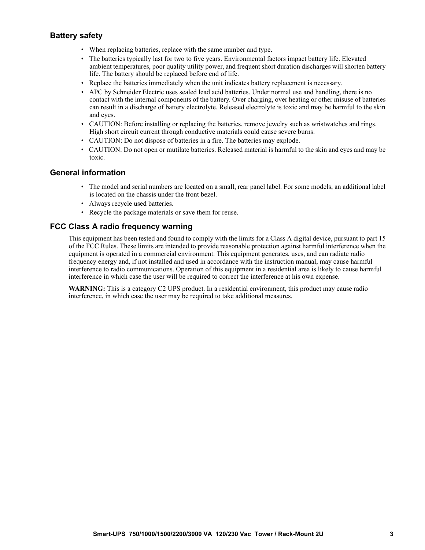#### **Battery safety**

- When replacing batteries, replace with the same number and type.
- The batteries typically last for two to five years. Environmental factors impact battery life. Elevated ambient temperatures, poor quality utility power, and frequent short duration discharges will shorten battery life. The battery should be replaced before end of life.
- Replace the batteries immediately when the unit indicates battery replacement is necessary.
- APC by Schneider Electric uses sealed lead acid batteries. Under normal use and handling, there is no contact with the internal components of the battery. Over charging, over heating or other misuse of batteries can result in a discharge of battery electrolyte. Released electrolyte is toxic and may be harmful to the skin and eyes.
- CAUTION: Before installing or replacing the batteries, remove jewelry such as wristwatches and rings. High short circuit current through conductive materials could cause severe burns.
- CAUTION: Do not dispose of batteries in a fire. The batteries may explode.
- CAUTION: Do not open or mutilate batteries. Released material is harmful to the skin and eyes and may be toxic.

#### **General information**

- The model and serial numbers are located on a small, rear panel label. For some models, an additional label is located on the chassis under the front bezel.
- Always recycle used batteries.
- Recycle the package materials or save them for reuse.

#### **FCC Class A radio frequency warning**

This equipment has been tested and found to comply with the limits for a Class A digital device, pursuant to part 15 of the FCC Rules. These limits are intended to provide reasonable protection against harmful interference when the equipment is operated in a commercial environment. This equipment generates, uses, and can radiate radio frequency energy and, if not installed and used in accordance with the instruction manual, may cause harmful interference to radio communications. Operation of this equipment in a residential area is likely to cause harmful interference in which case the user will be required to correct the interference at his own expense.

**WARNING:** This is a category C2 UPS product. In a residential environment, this product may cause radio interference, in which case the user may be required to take additional measures.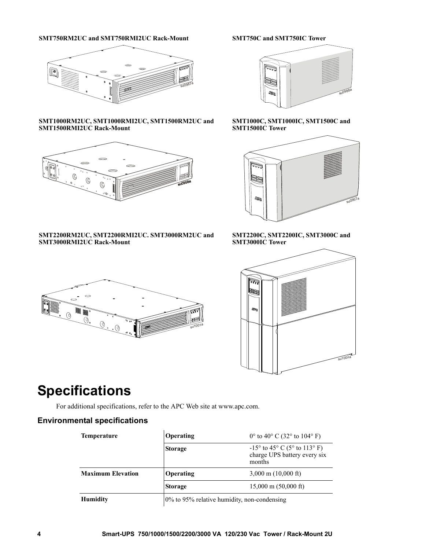#### **SMT750RM2UC and SMT750RMI2UC Rack-Mount SMT750C and SMT750IC Tower**



#### **SMT1000RM2UC, SMT1000RMI2UC, SMT1500RM2UC and SMT1500RMI2UC Rack-Mount**



#### **SMT2200RM2UC, SMT2200RMI2UC. SMT3000RM2UC and SMT3000RMI2UC Rack-Mount**



#### **SMT1000C, SMT1000IC, SMT1500C and SMT1500IC Tower**



#### **SMT2200C, SMT2200IC, SMT3000C and SMT3000IC Tower**





### **Specifications**

For additional specifications, refer to the APC Web site at www.apc.com.

#### **Environmental specifications**

| <b>Temperature</b>       | Operating                                   | $0^{\circ}$ to 40° C (32° to 104° F)                                            |
|--------------------------|---------------------------------------------|---------------------------------------------------------------------------------|
|                          | <b>Storage</b>                              | $-15^{\circ}$ to 45° C (5° to 113° F)<br>charge UPS battery every six<br>months |
| <b>Maximum Elevation</b> | Operating                                   | $3,000 \text{ m}$ (10,000 ft)                                                   |
|                          | <b>Storage</b>                              | $15,000 \text{ m}$ (50,000 ft)                                                  |
| <b>Humidity</b>          | 0% to 95% relative humidity, non-condensing |                                                                                 |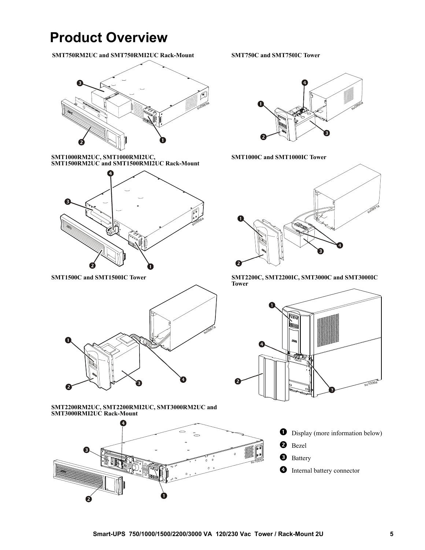### **Product Overview**

**=SMT750RM2UC and SMT750RMI2UC Rack-Mount SMT750C and SMT750IC Tower**



**SMT1000RM2UC, SMT1000RMI2UC, SMT1500RM2UC and SMT1500RMI2UC Rack-Mount**





**SMT2200RM2UC, SMT2200RMI2UC, SMT3000RM2UC and SMT3000RMI2UC Rack-Mount**





**SMT1000C and SMT1000IC Tower**



**SMT1500C and SMT1500IC Tower SMT2200C, SMT2200IC, SMT3000C and SMT3000IC Tower**

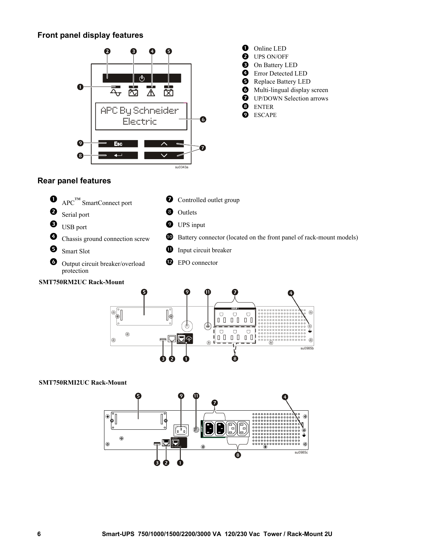#### **Front panel display features**



#### **Rear panel features**





#### **SMT750RMI2UC Rack-Mount**

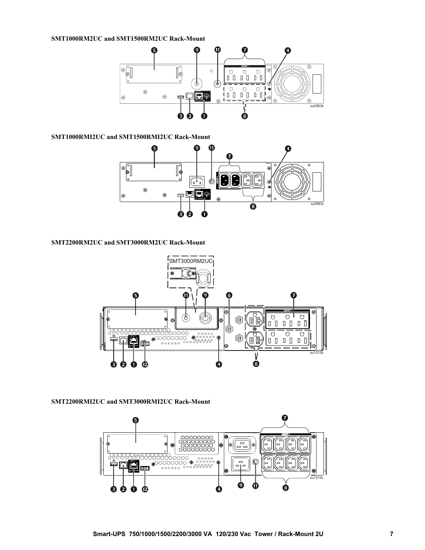#### **SMT1000RM2UC and SMT1500RM2UC Rack-Mount**



**SMT1000RMI2UC and SMT1500RMI2UC Rack-Mount**



#### **SMT2200RM2UC and SMT3000RM2UC Rack-Mount**



#### **SMT2200RMI2UC and SMT3000RMI2UC Rack-Mount**

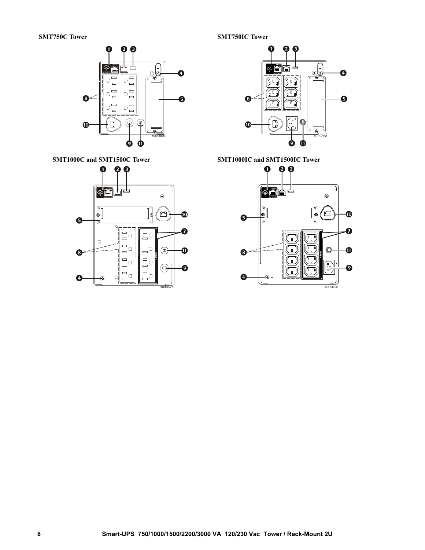**SMT750C Tower SMT750IC Tower** 







SMT1000C and SMT1500C Tower SMT1000IC and SMT1500IC Tower

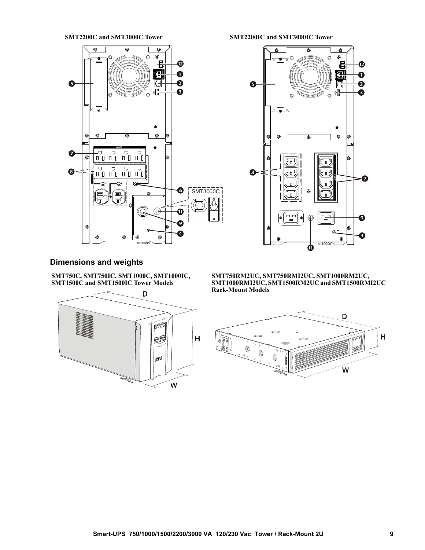

**SMT2200C and SMT3000C Tower SMT2200IC and SMT3000IC Tower**



#### **Dimensions and weights**

**SMT750C, SMT750IC, SMT1000C, SMT1000IC, SMT1500C and SMT1500IC Tower Models**



**SMT750RM2UC, SMT750RMI2UC, SMT1000RM2UC, SMT1000RMI2UC, SMT1500RM2UC and SMT1500RMI2UC Rack-Mount Models**

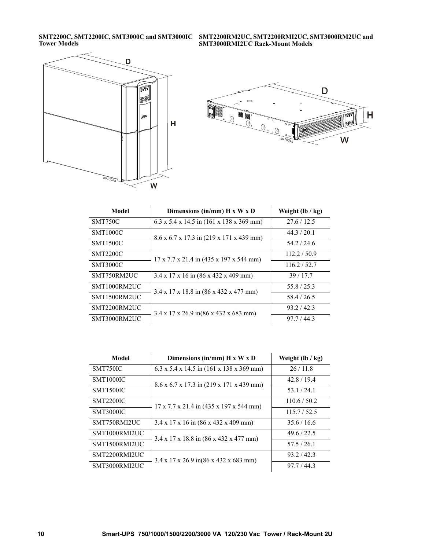**SMT2200C, SMT2200IC, SMT3000C and SMT3000IC Tower Models**

**SMT2200RM2UC, SMT2200RMI2UC, SMT3000RM2UC and SMT3000RMI2UC Rack-Mount Models**





| Model           | Dimensions (in/mm) $H \times W \times D$                       | Weight $(lb / kg)$ |
|-----------------|----------------------------------------------------------------|--------------------|
| <b>SMT750C</b>  | $6.3 \times 5.4 \times 14.5$ in (161 x 138 x 369 mm)           | 27.6/12.5          |
| <b>SMT1000C</b> | 8.6 x 6.7 x 17.3 in (219 x 171 x 439 mm)                       | 44.3 / 20.1        |
| <b>SMT1500C</b> |                                                                | 54.2/24.6          |
| <b>SMT2200C</b> | 17 x 7.7 x 21.4 in (435 x 197 x 544 mm)                        | 112.2 / 50.9       |
| <b>SMT3000C</b> |                                                                | 116.2 / 52.7       |
| SMT750RM2UC     | $3.4 \times 17 \times 16$ in $(86 \times 432 \times 409$ mm)   | 39/17.7            |
| SMT1000RM2UC    | $3.4 \times 17 \times 18.8$ in $(86 \times 432 \times 477$ mm) | 55.8/25.3          |
| SMT1500RM2UC    |                                                                | 58.4 / 26.5        |
| SMT2200RM2UC    | $3.4 \times 17 \times 26.9$ in(86 x 432 x 683 mm)              | 93.2 / 42.3        |
| SMT3000RM2UC    |                                                                | 97.7 / 44.3        |

| Model            | Dimensions (in/mm) $H \times W \times D$                         | Weight $(lb / kg)$ |
|------------------|------------------------------------------------------------------|--------------------|
| SMT750IC         | $6.3 \times 5.4 \times 14.5$ in $(161 \times 138 \times 369$ mm) | 26/11.8            |
| <b>SMT1000IC</b> | 8.6 x 6.7 x 17.3 in (219 x 171 x 439 mm)                         | 42.8/19.4          |
| <b>SMT1500IC</b> |                                                                  | 53.1/24.1          |
| <b>SMT2200IC</b> | $17 \times 7.7 \times 21.4$ in (435 x 197 x 544 mm)              | 110.6 / 50.2       |
| <b>SMT3000IC</b> |                                                                  | 115.7 / 52.5       |
| SMT750RMI2UC     | $3.4 \times 17 \times 16$ in $(86 \times 432 \times 409$ mm)     | 35.6/16.6          |
| SMT1000RMI2UC    | $3.4 \times 17 \times 18.8$ in $(86 \times 432 \times 477$ mm)   | 49.6 / 22.5        |
| SMT1500RMI2UC    |                                                                  | 57.5/26.1          |
| SMT2200RMI2UC    | $3.4 \times 17 \times 26.9$ in(86 x 432 x 683 mm)                | 93.2 / 42.3        |
| SMT3000RMI2UC    |                                                                  | 97.7 / 44.3        |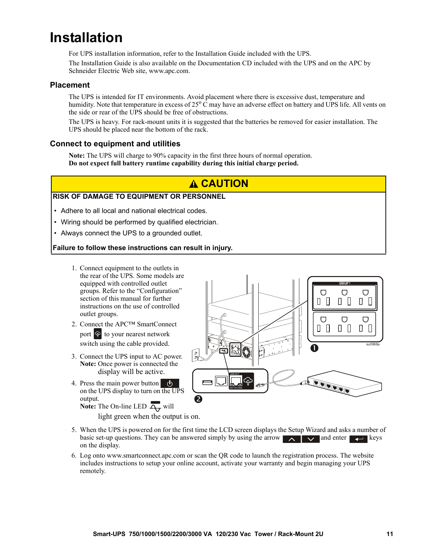### **Installation**

For UPS installation information, refer to the Installation Guide included with the UPS.

The Installation Guide is also available on the Documentation CD included with the UPS and on the APC by Schneider Electric Web site, www.apc.com.

#### **Placement**

The UPS is intended for IT environments. Avoid placement where there is excessive dust, temperature and humidity. Note that temperature in excess of  $25^{\circ}$ C may have an adverse effect on battery and UPS life. All vents on the side or rear of the UPS should be free of obstructions.

The UPS is heavy. For rack-mount units it is suggested that the batteries be removed for easier installation. The UPS should be placed near the bottom of the rack.

#### **Connect to equipment and utilities**

**Note:** The UPS will charge to 90% capacity in the first three hours of normal operation. **Do not expect full battery runtime capability during this initial charge period.**

### **CAUTION**

#### **RISK OF DAMAGE TO EQUIPMENT OR PERSONNEL**

- Adhere to all local and national electrical codes.
- Wiring should be performed by qualified electrician.
- Always connect the UPS to a grounded outlet.

#### **Failure to follow these instructions can result in injury.**

- 1. Connect equipment to the outlets in the rear of the UPS. [Some models are](#page-19-0) equipped with controlled outlet groups. Refer to the "Configuration" section of this manual for further instructions on the use of controlled outlet groups.
- 2. Connect the APC™ SmartConnect port  $\circledcirc$  to your nearest network switch using the cable provided.
- 3. Connect the UPS input to AC power. **Note:** Once power is connected the display will be active.
- 4. Press the main power button (b) on the UPS display to turn on the UPS output.

on the display.

**Note:** The On-line LED  $\overline{A}$  will light green when the output is on.



- 5. When the UPS is powered on for the first time the LCD screen displays the Setup Wizard and asks a number of basic set-up questions. They can be answered simply by using the arrow  $\Delta$   $\Delta$   $\Delta$  and enter keys
- 6. Log onto www.smartconnect.apc.com or scan the QR code to launch the registration process. The website includes instructions to setup your online account, activate your warranty and begin managing your UPS remotely.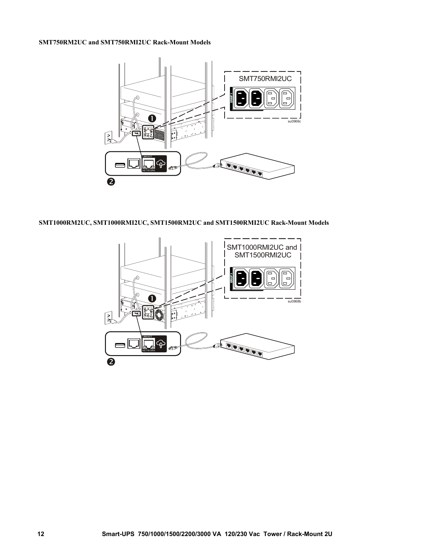#### **SMT750RM2UC and SMT750RMI2UC Rack-Mount Models**



**SMT1000RM2UC, SMT1000RMI2UC, SMT1500RM2UC and SMT1500RMI2UC Rack-Mount Models**

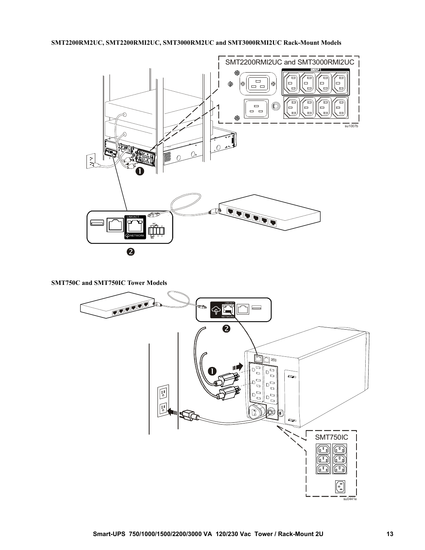#### **SMT2200RM2UC, SMT2200RMI2UC, SMT3000RM2UC and SMT3000RMI2UC Rack-Mount Models**



**SMT750C and SMT750IC Tower Models**

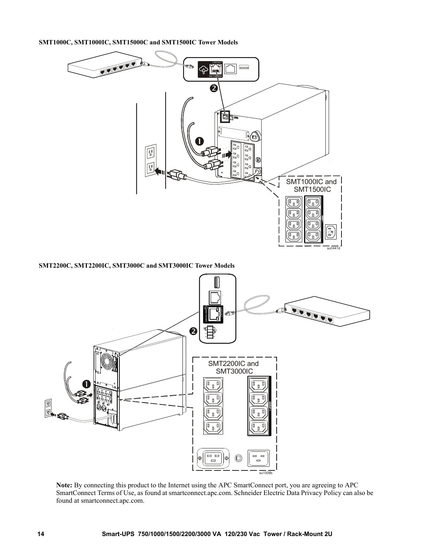**SMT1000C, SMT1000IC, SMT15000C and SMT1500IC Tower Models**



**SMT2200C, SMT2200IC, SMT3000C and SMT3000IC Tower Models**



**Note:** By connecting this product to the Internet using the APC SmartConnect port, you are agreeing to APC SmartConnect Terms of Use, as found at smartconnect.apc.com. Schneider Electric Data Privacy Policy can also be found at smartconnect.apc.com.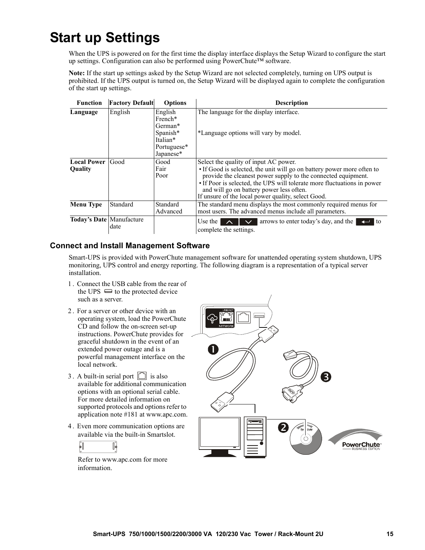### **Start up Settings**

When the UPS is powered on for the first time the display interface displays the Setup Wizard to configure the start up settings. Configuration can also be performed using PowerChute™ software.

**Note:** If the start up settings asked by the Setup Wizard are not selected completely, turning on UPS output is prohibited. If the UPS output is turned on, the Setup Wizard will be displayed again to complete the configuration of the start up settings.

| <b>Function</b>          | <b>Factory Default</b> | <b>Options</b>                                   | <b>Description</b>                                                                                                                                                                                                                                                                                                   |
|--------------------------|------------------------|--------------------------------------------------|----------------------------------------------------------------------------------------------------------------------------------------------------------------------------------------------------------------------------------------------------------------------------------------------------------------------|
| Language                 | English                | English<br>French*<br>German*                    | The language for the display interface.                                                                                                                                                                                                                                                                              |
|                          |                        | Spanish*<br>Italian*<br>Portuguese*<br>Japanese* | *Language options will vary by model.                                                                                                                                                                                                                                                                                |
| <b>Local Power</b>       | Good                   | Good                                             | Select the quality of input AC power.                                                                                                                                                                                                                                                                                |
| <b>Quality</b>           |                        | Fair<br>Poor                                     | • If Good is selected, the unit will go on battery power more often to<br>provide the cleanest power supply to the connected equipment.<br>• If Poor is selected, the UPS will tolerate more fluctuations in power<br>and will go on battery power less often.<br>If unsure of the local power quality, select Good. |
| <b>Menu Type</b>         | Standard               | Standard<br>Advanced                             | The standard menu displays the most commonly required menus for<br>most users. The advanced menus include all parameters.                                                                                                                                                                                            |
| Today's Date Manufacture | date                   |                                                  | arrows to enter today's day, and the<br>Use the 1<br>$\overline{\phantom{a}}$<br>l to<br>$\mathbf{\Lambda}$<br>complete the settings.                                                                                                                                                                                |

#### **Connect and Install Management Software**

Smart-UPS is provided with PowerChute management software for unattended operating system shutdown, UPS monitoring, UPS control and energy reporting. The following diagram is a representation of a typical server installation.

- 1 . Connect the USB cable from the rear of the UPS  $\equiv$  to the protected device such as a server.
- 2 . For a server or other device with an operating system, load the PowerChute CD and follow the on-screen set-up instructions. PowerChute provides for graceful shutdown in the event of an extended power outage and is a powerful management interface on the local network.
- 3. A built-in serial port  $\boxed{\square}$  is also available for additional communication options with an optional serial cable. For more detailed information on supported protocols and options refer to application note #181 at www.apc.com.
- 4 . Even more communication options are available via the built-in Smartslot.

$$
\begin{array}{c|c}\n\bullet & & \\
\bullet & & \\
\end{array}
$$

Refer to www.apc.com for more information.

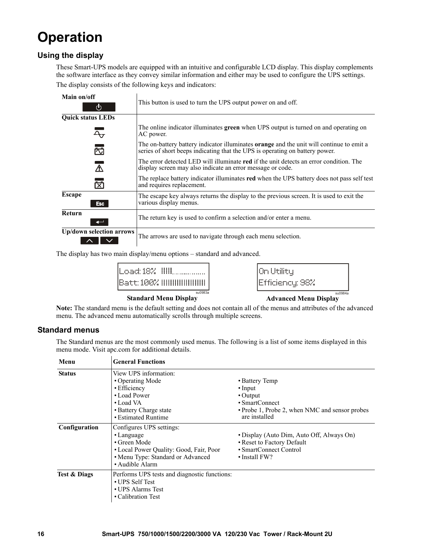### **Operation**

#### **Using the display**

These Smart-UPS models are equipped with an intuitive and configurable LCD display. This display complements the software interface as they convey similar information and either may be used to configure the UPS settings.

The display consists of the following keys and indicators:

| Main on/off                 |                                                                                                                                                                                 |  |  |  |
|-----------------------------|---------------------------------------------------------------------------------------------------------------------------------------------------------------------------------|--|--|--|
| (ካ                          | This button is used to turn the UPS output power on and off.                                                                                                                    |  |  |  |
| <b>Quick status LEDs</b>    |                                                                                                                                                                                 |  |  |  |
| Ą,                          | The online indicator illuminates green when UPS output is turned on and operating on<br>AC power.                                                                               |  |  |  |
| 苬                           | The on-battery battery indicator illuminates <b>orange</b> and the unit will continue to emit a<br>series of short beeps indicating that the UPS is operating on battery power. |  |  |  |
| $\bigwedge$                 | The error detected LED will illuminate red if the unit detects an error condition. The<br>display screen may also indicate an error message or code.                            |  |  |  |
| 岗                           | The replace battery indicator illuminates red when the UPS battery does not pass self test<br>and requires replacement.                                                         |  |  |  |
| <b>Escape</b><br><b>Esc</b> | The escape key always returns the display to the previous screen. It is used to exit the<br>various display menus.                                                              |  |  |  |
| <b>Return</b>               | The return key is used to confirm a selection and/or enter a menu.                                                                                                              |  |  |  |
| Up/down selection arrows    | The arrows are used to navigate through each menu selection.                                                                                                                    |  |  |  |

The display has two main display/menu options – standard and advanced.

| Batt: 100% !!!!!!!!!!!!!!!!!!! |
|--------------------------------|
| su0983a                        |

| On Utility<br>Efficiency: 98% |         |
|-------------------------------|---------|
|                               | su0984a |

**Standard Menu Display Advanced Menu Display** 

**Note:** The standard menu is the default setting and does not contain all of the menus and attributes of the advanced menu. The advanced menu automatically scrolls through multiple screens.

#### **Standard menus**

The Standard menus are the most commonly used menus. The following is a list of some items displayed in this menu mode. Visit apc.com for additional details.

| Menu                    | <b>General Functions</b>                                                                                                                                        |                                                                                                                                        |
|-------------------------|-----------------------------------------------------------------------------------------------------------------------------------------------------------------|----------------------------------------------------------------------------------------------------------------------------------------|
| <b>Status</b>           | View UPS information:<br>• Operating Mode<br>• Efficiency<br>• Load Power<br>• Load VA<br>• Battery Charge state<br>• Estimated Runtime                         | • Battery Temp<br>$\cdot$ Input<br>$\cdot$ Output<br>• SmartConnect<br>• Probe 1, Probe 2, when NMC and sensor probes<br>are installed |
| Configuration           | Configures UPS settings:<br>$\cdot$ Language<br>• Green Mode<br>• Local Power Quality: Good, Fair, Poor<br>• Menu Type: Standard or Advanced<br>• Audible Alarm | • Display (Auto Dim, Auto Off, Always On)<br>• Reset to Factory Default<br>• SmartConnect Control<br>$\cdot$ Install FW?               |
| <b>Test &amp; Diags</b> | Performs UPS tests and diagnostic functions:<br>• UPS Self Test<br>• UPS Alarms Test<br>• Calibration Test                                                      |                                                                                                                                        |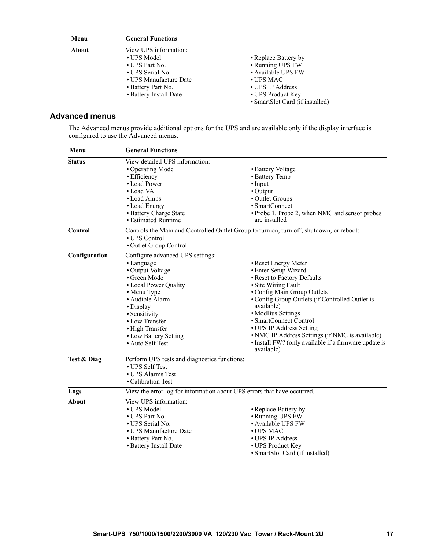| Menu  | <b>General Functions</b>                                                                                                                             |                                                                                                                                                                 |
|-------|------------------------------------------------------------------------------------------------------------------------------------------------------|-----------------------------------------------------------------------------------------------------------------------------------------------------------------|
| About | View UPS information:<br>• UPS Model<br>• UPS Part No.<br>• UPS Serial No.<br>• UPS Manufacture Date<br>• Battery Part No.<br>• Battery Install Date | • Replace Battery by<br>• Running UPS FW<br>• Available UPS FW<br>$\bullet$ UPS MAC<br>• UPS IP Address<br>• UPS Product Key<br>• SmartSlot Card (if installed) |

#### **Advanced menus**

The Advanced menus provide additional options for the UPS and are available only if the display interface is configured to use the Advanced menus.

| Menu           | <b>General Functions</b>                                                                 |                                                                     |  |  |
|----------------|------------------------------------------------------------------------------------------|---------------------------------------------------------------------|--|--|
| <b>Status</b>  | View detailed UPS information:                                                           |                                                                     |  |  |
|                | • Operating Mode                                                                         | • Battery Voltage                                                   |  |  |
|                | • Efficiency                                                                             | • Battery Temp                                                      |  |  |
|                | • Load Power                                                                             | $\cdot$ Input                                                       |  |  |
|                | • Load VA                                                                                | • Output                                                            |  |  |
|                | • Load Amps                                                                              | • Outlet Groups                                                     |  |  |
|                | • Load Energy                                                                            | • SmartConnect                                                      |  |  |
|                | • Battery Charge State                                                                   | • Probe 1, Probe 2, when NMC and sensor probes                      |  |  |
|                | • Estimated Runtime                                                                      | are installed                                                       |  |  |
| <b>Control</b> | Controls the Main and Controlled Outlet Group to turn on, turn off, shutdown, or reboot: |                                                                     |  |  |
|                | • UPS Control                                                                            |                                                                     |  |  |
|                | · Outlet Group Control                                                                   |                                                                     |  |  |
| Configuration  | Configure advanced UPS settings:                                                         |                                                                     |  |  |
|                | • Language                                                                               | • Reset Energy Meter                                                |  |  |
|                | • Output Voltage                                                                         | • Enter Setup Wizard                                                |  |  |
|                | • Green Mode                                                                             | • Reset to Factory Defaults                                         |  |  |
|                | • Local Power Quality                                                                    | · Site Wiring Fault                                                 |  |  |
|                | • Menu Type                                                                              | • Config Main Group Outlets                                         |  |  |
|                | · Audible Alarm                                                                          | • Config Group Outlets (if Controlled Outlet is                     |  |  |
|                | • Display                                                                                | available)                                                          |  |  |
|                | · Sensitivity                                                                            | • ModBus Settings                                                   |  |  |
|                | • Low Transfer                                                                           | • SmartConnect Control                                              |  |  |
|                | • High Transfer                                                                          | • UPS IP Address Setting                                            |  |  |
|                | • Low Battery Setting                                                                    | • NMC IP Address Settings (if NMC is available)                     |  |  |
|                | • Auto Self Test                                                                         | · Install FW? (only available if a firmware update is<br>available) |  |  |
| Test & Diag    | Perform UPS tests and diagnostics functions:                                             |                                                                     |  |  |
|                | • UPS Self Test                                                                          |                                                                     |  |  |
|                | • UPS Alarms Test                                                                        |                                                                     |  |  |
|                | • Calibration Test                                                                       |                                                                     |  |  |
| Logs           | View the error log for information about UPS errors that have occurred.                  |                                                                     |  |  |
| <b>About</b>   | View UPS information:                                                                    |                                                                     |  |  |
|                | • UPS Model                                                                              | • Replace Battery by                                                |  |  |
|                | • UPS Part No.                                                                           | • Running UPS FW                                                    |  |  |
|                | • UPS Serial No.                                                                         | • Available UPS FW                                                  |  |  |
|                | • UPS Manufacture Date                                                                   | • UPS MAC                                                           |  |  |
|                | • Battery Part No.                                                                       | • UPS IP Address                                                    |  |  |
|                | • Battery Install Date                                                                   | • UPS Product Key                                                   |  |  |
|                |                                                                                          | • SmartSlot Card (if installed)                                     |  |  |
|                |                                                                                          |                                                                     |  |  |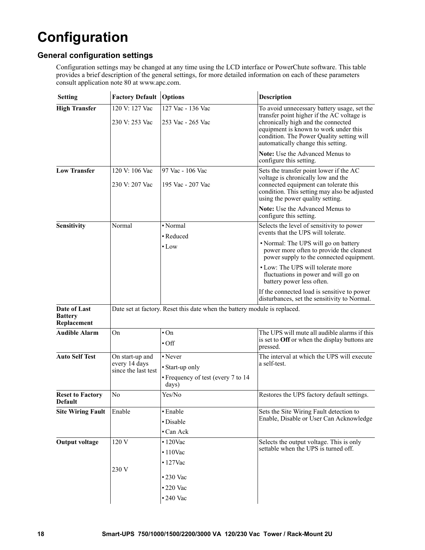## <span id="page-19-0"></span>**Configuration**

#### **General configuration settings**

Configuration settings may be changed at any time using the LCD interface or PowerChute software. This table provides a brief description of the general settings, for more detailed information on each of these parameters consult application note 80 at www.apc.com.

| <b>Setting</b>                                | <b>Factory Default</b>                                  | <b>Options</b>                                                            | <b>Description</b>                                                                                                                                                                                                                                          |
|-----------------------------------------------|---------------------------------------------------------|---------------------------------------------------------------------------|-------------------------------------------------------------------------------------------------------------------------------------------------------------------------------------------------------------------------------------------------------------|
| <b>High Transfer</b>                          | 120 V: 127 Vac<br>230 V: 253 Vac                        | 127 Vac - 136 Vac<br>253 Vac - 265 Vac                                    | To avoid unnecessary battery usage, set the<br>transfer point higher if the AC voltage is<br>chronically high and the connected<br>equipment is known to work under this<br>condition. The Power Quality setting will<br>automatically change this setting. |
|                                               |                                                         |                                                                           | Note: Use the Advanced Menus to<br>configure this setting.                                                                                                                                                                                                  |
| <b>Low Transfer</b>                           | 120 V: 106 Vac<br>230 V: 207 Vac                        | 97 Vac - 106 Vac<br>195 Vac - 207 Vac                                     | Sets the transfer point lower if the AC<br>voltage is chronically low and the<br>connected equipment can tolerate this<br>condition. This setting may also be adjusted<br>using the power quality setting.                                                  |
|                                               |                                                         |                                                                           | Note: Use the Advanced Menus to<br>configure this setting.                                                                                                                                                                                                  |
| <b>Sensitivity</b>                            | Normal                                                  | • Normal<br>• Reduced                                                     | Selects the level of sensitivity to power<br>events that the UPS will tolerate.                                                                                                                                                                             |
|                                               |                                                         | $\bullet$ Low                                                             | • Normal: The UPS will go on battery<br>power more often to provide the cleanest<br>power supply to the connected equipment.                                                                                                                                |
|                                               |                                                         |                                                                           | • Low: The UPS will tolerate more<br>fluctuations in power and will go on<br>battery power less often.                                                                                                                                                      |
|                                               |                                                         |                                                                           | If the connected load is sensitive to power<br>disturbances, set the sensitivity to Normal.                                                                                                                                                                 |
| Date of Last<br><b>Battery</b><br>Replacement |                                                         | Date set at factory. Reset this date when the battery module is replaced. |                                                                                                                                                                                                                                                             |
| <b>Audible Alarm</b>                          | On                                                      | $\cdot$ On<br>$\cdot$ Off                                                 | The UPS will mute all audible alarms if this<br>is set to Off or when the display buttons are<br>pressed.                                                                                                                                                   |
| <b>Auto Self Test</b>                         | On start-up and<br>every 14 days<br>since the last test | • Never<br>• Start-up only<br>• Frequency of test (every 7 to 14<br>days) | The interval at which the UPS will execute<br>a self-test.                                                                                                                                                                                                  |
| <b>Reset to Factory</b><br><b>Default</b>     | N <sub>o</sub>                                          | Yes/No                                                                    | Restores the UPS factory default settings.                                                                                                                                                                                                                  |
| <b>Site Wiring Fault</b>                      | Enable                                                  | · Enable<br>· Disable<br>• Can Ack                                        | Sets the Site Wiring Fault detection to<br>Enable, Disable or User Can Acknowledge                                                                                                                                                                          |
| <b>Output voltage</b>                         | 120 V                                                   | $\cdot$ 120Vac<br>$\cdot$ 110Vac<br>$\cdot$ 127Vac                        | Selects the output voltage. This is only<br>settable when the UPS is turned off.                                                                                                                                                                            |
|                                               | 230 V                                                   | •230 Vac<br>•220 Vac<br>$\cdot$ 240 Vac                                   |                                                                                                                                                                                                                                                             |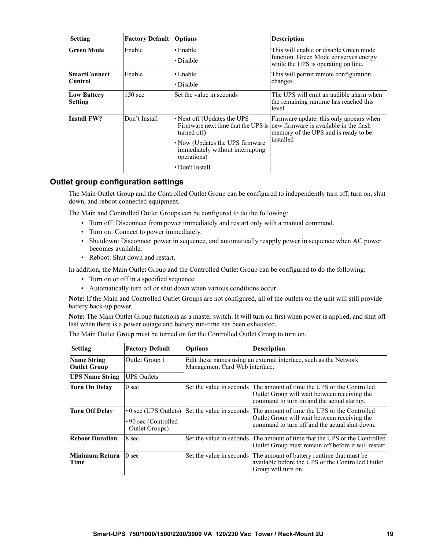| <b>Setting</b>                       | <b>Factory Default</b> | <b>Options</b>                                                                                                                                       | <b>Description</b>                                                                                                                                                        |
|--------------------------------------|------------------------|------------------------------------------------------------------------------------------------------------------------------------------------------|---------------------------------------------------------------------------------------------------------------------------------------------------------------------------|
| <b>Green Mode</b>                    | Enable                 | • Enable<br>• Disable                                                                                                                                | This will enable or disable Green mode<br>function. Green Mode conserves energy<br>while the UPS is operating on line.                                                    |
| <b>SmartConnect</b><br>Control       | Enable                 | $\cdot$ Enable<br>• Disable                                                                                                                          | This will permit remote configuration<br>changes.                                                                                                                         |
| <b>Low Battery</b><br><b>Setting</b> | 150 sec                | Set the value in seconds                                                                                                                             | The UPS will emit an audible alarm when<br>the remaining runtime has reached this<br>level.                                                                               |
| <b>Install FW?</b>                   | Don't Install          | • Next off (Updates the UPS)<br>turned off)<br>• Now (Updates the UPS firmware<br>immediately without interrupting<br>operations)<br>• Don't Install | Firmware update: this only appears when<br>Firmware next time that the UPS is new firmware is available in the flash<br>memory of the UPS and is ready to be<br>installed |

#### **Outlet group configuration settings**

The Main Outlet Group and the Controlled Outlet Group can be configured to independently turn off, turn on, shut down, and reboot connected equipment.

The Main and Controlled Outlet Groups can be configured to do the following:

- Turn off: Disconnect from power immediately and restart only with a manual command.
- Turn on: Connect to power immediately.
- Shutdown: Disconnect power in sequence, and automatically reapply power in sequence when AC power becomes available.
- Reboot: Shut down and restart.

In addition, the Main Outlet Group and the Controlled Outlet Group can be configured to do the following:

- Turn on or off in a specified sequence
- Automatically turn off or shut down when various conditions occur

**Note:** If the Main and Controlled Outlet Groups are not configured, all of the outlets on the unit will still provide battery back-up power.

**Note:** The Main Outlet Group functions as a master switch. It will turn on first when power is applied, and shut off last when there is a power outage and battery run-time has been exhausted.

The Main Outlet Group must be turned on for the Controlled Outlet Group to turn on.

| <b>Setting</b>                            | <b>Factory Default</b>                                               | <b>Options</b>                                                                                      | <b>Description</b>                                                                                                                                                     |  |
|-------------------------------------------|----------------------------------------------------------------------|-----------------------------------------------------------------------------------------------------|------------------------------------------------------------------------------------------------------------------------------------------------------------------------|--|
| <b>Name String</b><br><b>Outlet Group</b> | Outlet Group 1                                                       | Edit these names using an external interface, such as the Network<br>Management Card Web interface. |                                                                                                                                                                        |  |
| <b>UPS Name String</b>                    | <b>UPS</b> Outlets                                                   |                                                                                                     |                                                                                                                                                                        |  |
| Turn On Delay                             | 0 <sub>sec</sub>                                                     |                                                                                                     | Set the value in seconds The amount of time the UPS or the Controlled<br>Outlet Group will wait between receiving the<br>command to turn on and the actual startup.    |  |
| <b>Turn Off Delay</b>                     | $\cdot$ 0 sec (UPS Outlets)<br>•90 sec (Controlled<br>Outlet Groups) |                                                                                                     | Set the value in seconds The amount of time the UPS or the Controlled<br>Outlet Group will wait between receiving the<br>command to turn off and the actual shut down. |  |
| <b>Reboot Duration</b>                    | 8 sec                                                                |                                                                                                     | Set the value in seconds The amount of time that the UPS or the Controlled<br>Outlet Group must remain off before it will restart.                                     |  |
| <b>Minimum Return</b><br>Time             | 0 <sub>sec</sub>                                                     |                                                                                                     | Set the value in seconds The amount of battery runtime that must be<br>available before the UPS or the Controlled Outlet<br>Group will turn on.                        |  |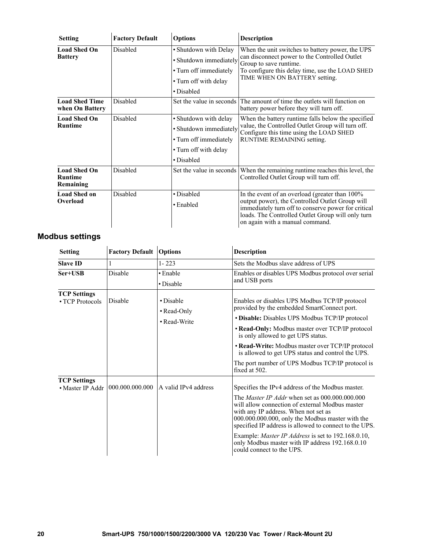| <b>Setting</b>                                     | <b>Factory Default</b> | <b>Options</b>           | <b>Description</b>                                                                                                                                                                             |
|----------------------------------------------------|------------------------|--------------------------|------------------------------------------------------------------------------------------------------------------------------------------------------------------------------------------------|
| <b>Load Shed On</b>                                | Disabled               | · Shutdown with Delay    | When the unit switches to battery power, the UPS                                                                                                                                               |
| <b>Battery</b>                                     |                        | • Shutdown immediately   | can disconnect power to the Controlled Outlet<br>Group to save runtime.                                                                                                                        |
|                                                    |                        | • Turn off immediately   | To configure this delay time, use the LOAD SHED                                                                                                                                                |
|                                                    |                        | • Turn off with delay    | TIME WHEN ON BATTERY setting.                                                                                                                                                                  |
|                                                    | • Disabled             |                          |                                                                                                                                                                                                |
| <b>Load Shed Time</b><br>when On Battery           | Disabled               | Set the value in seconds | The amount of time the outlets will function on<br>battery power before they will turn off.                                                                                                    |
| <b>Load Shed On</b><br><b>Runtime</b>              | Disabled               | • Shutdown with delay    | When the battery runtime falls below the specified                                                                                                                                             |
|                                                    |                        | · Shutdown immediately   | value, the Controlled Outlet Group will turn off.<br>Configure this time using the LOAD SHED                                                                                                   |
|                                                    |                        | • Turn off immediately   | <b>RUNTIME REMAINING setting.</b>                                                                                                                                                              |
|                                                    |                        | • Turn off with delay    |                                                                                                                                                                                                |
|                                                    |                        | • Disabled               |                                                                                                                                                                                                |
| <b>Load Shed On</b><br><b>Runtime</b><br>Remaining | Disabled               | Set the value in seconds | When the remaining runtime reaches this level, the<br>Controlled Outlet Group will turn off.                                                                                                   |
| <b>Load Shed on</b>                                | Disabled               | • Disabled               | In the event of an overload (greater than 100%                                                                                                                                                 |
| Overload                                           |                        | $\cdot$ Enabled          | output power), the Controlled Outlet Group will<br>immediately turn off to conserve power for critical<br>loads. The Controlled Outlet Group will only turn<br>on again with a manual command. |

### **Modbus settings**

| <b>Setting</b>                          | <b>Factory Default Options</b> |                                          | <b>Description</b>                                                                                                                                                                                                                                                                                                                                                                                                                                              |
|-----------------------------------------|--------------------------------|------------------------------------------|-----------------------------------------------------------------------------------------------------------------------------------------------------------------------------------------------------------------------------------------------------------------------------------------------------------------------------------------------------------------------------------------------------------------------------------------------------------------|
| <b>Slave ID</b>                         | 1                              | $1 - 223$                                | Sets the Modbus slave address of UPS                                                                                                                                                                                                                                                                                                                                                                                                                            |
| Ser+USB                                 | Disable                        | • Enable<br>• Disable                    | Enables or disables UPS Modbus protocol over serial<br>and USB ports                                                                                                                                                                                                                                                                                                                                                                                            |
| <b>TCP Settings</b><br>• TCP Protocols  | Disable                        | • Disable<br>• Read-Only<br>• Read-Write | Enables or disables UPS Modbus TCP/IP protocol<br>provided by the embedded SmartConnect port.<br>• Disable: Disables UPS Modbus TCP/IP protocol<br>• Read-Only: Modbus master over TCP/IP protocol<br>is only allowed to get UPS status.<br>• Read-Write: Modbus master over TCP/IP protocol<br>is allowed to get UPS status and control the UPS.<br>The port number of UPS Modbus TCP/IP protocol is<br>fixed at 502.                                          |
| <b>TCP Settings</b><br>• Master IP Addr | 1000.000.000.000               | A valid IPv4 address                     | Specifies the IPv4 address of the Modbus master.<br>The <i>Master IP Addr</i> when set as 000,000,000,000<br>will allow connection of external Modbus master<br>with any IP address. When not set as<br>000.000.000.000, only the Modbus master with the<br>specified IP address is allowed to connect to the UPS.<br>Example: <i>Master IP Address</i> is set to 192.168.0.10,<br>only Modbus master with IP address 192.168.0.10<br>could connect to the UPS. |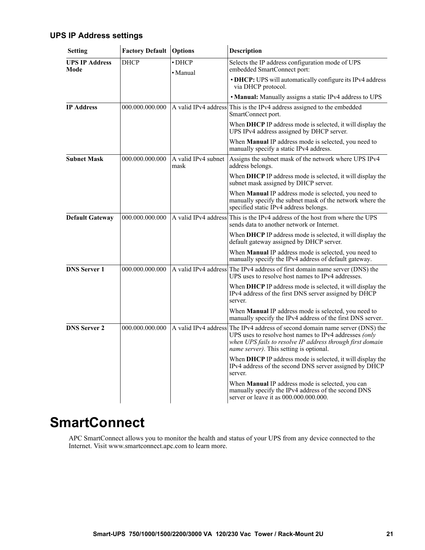#### **UPS IP Address settings**

 $\mathbf{r}$ 

 $\mathbf{r}$ 

| <b>Setting</b>                | <b>Factory Default Options</b>            |                             | <b>Description</b>                                                                                                                                                                                                                             |  |
|-------------------------------|-------------------------------------------|-----------------------------|------------------------------------------------------------------------------------------------------------------------------------------------------------------------------------------------------------------------------------------------|--|
| <b>UPS IP Address</b><br>Mode | <b>DHCP</b><br>$\bullet$ DHCP<br>• Manual |                             | Selects the IP address configuration mode of UPS<br>embedded SmartConnect port:                                                                                                                                                                |  |
|                               |                                           |                             | • DHCP: UPS will automatically configure its IPv4 address<br>via DHCP protocol.                                                                                                                                                                |  |
|                               |                                           |                             | • Manual: Manually assigns a static IPv4 address to UPS                                                                                                                                                                                        |  |
| <b>IP Address</b>             | 000.000.000.000                           |                             | A valid IPv4 address This is the IPv4 address assigned to the embedded<br>SmartConnect port.                                                                                                                                                   |  |
|                               |                                           |                             | When DHCP IP address mode is selected, it will display the<br>UPS IPv4 address assigned by DHCP server.                                                                                                                                        |  |
|                               |                                           |                             | When <b>Manual</b> IP address mode is selected, you need to<br>manually specify a static IPv4 address.                                                                                                                                         |  |
| <b>Subnet Mask</b>            | 000.000.000.000                           | A valid IPv4 subnet<br>mask | Assigns the subnet mask of the network where UPS IPv4<br>address belongs.                                                                                                                                                                      |  |
|                               |                                           |                             | When DHCP IP address mode is selected, it will display the<br>subnet mask assigned by DHCP server.                                                                                                                                             |  |
|                               |                                           |                             | When Manual IP address mode is selected, you need to<br>manually specify the subnet mask of the network where the<br>specified static IPv4 address belongs.                                                                                    |  |
| <b>Default Gateway</b>        | 000.000.000.000                           |                             | A valid IPv4 address This is the IPv4 address of the host from where the UPS<br>sends data to another network or Internet.                                                                                                                     |  |
|                               |                                           |                             | When DHCP IP address mode is selected, it will display the<br>default gateway assigned by DHCP server.                                                                                                                                         |  |
|                               |                                           |                             | When Manual IP address mode is selected, you need to<br>manually specify the IPv4 address of default gateway.                                                                                                                                  |  |
| <b>DNS Server 1</b>           | 000.000.000.000                           |                             | A valid IPv4 address The IPv4 address of first domain name server (DNS) the<br>UPS uses to resolve host names to IPv4 addresses.                                                                                                               |  |
|                               |                                           |                             | When DHCP IP address mode is selected, it will display the<br>IPv4 address of the first DNS server assigned by DHCP<br>server.                                                                                                                 |  |
|                               |                                           |                             | When Manual IP address mode is selected, you need to<br>manually specify the IPv4 address of the first DNS server.                                                                                                                             |  |
| <b>DNS Server 2</b>           | 000.000.000.000                           |                             | A valid IPv4 address The IPv4 address of second domain name server (DNS) the<br>UPS uses to resolve host names to IPv4 addresses (only<br>when UPS fails to resolve IP address through first domain<br>name server). This setting is optional. |  |
|                               |                                           |                             | When DHCP IP address mode is selected, it will display the<br>IPv4 address of the second DNS server assigned by DHCP<br>server.                                                                                                                |  |
|                               |                                           |                             | When Manual IP address mode is selected, you can<br>manually specify the IPv4 address of the second DNS<br>server or leave it as 000.000.000.000.                                                                                              |  |

 $\ddot{\phantom{a}}$ 

### **SmartConnect**

APC SmartConnect allows you to monitor the health and status of your UPS from any device connected to the Internet. Visit www.smartconnect.apc.com to learn more.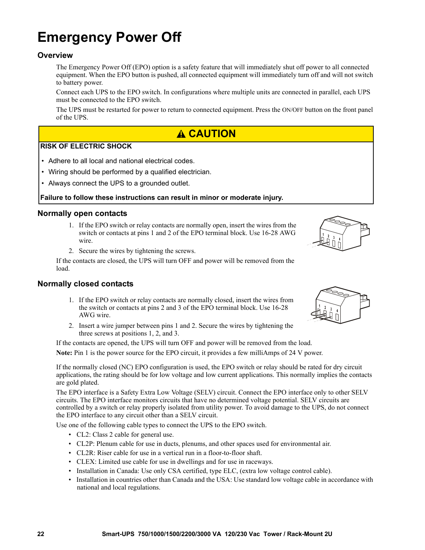### **Emergency Power Off**

#### **Overview**

The Emergency Power Off (EPO) option is a safety feature that will immediately shut off power to all connected equipment. When the EPO button is pushed, all connected equipment will immediately turn off and will not switch to battery power.

Connect each UPS to the EPO switch. In configurations where multiple units are connected in parallel, each UPS must be connected to the EPO switch.

The UPS must be restarted for power to return to connected equipment. Press the ON/OFF button on the front panel of the UPS.

#### **CAUTION**

#### **RISK OF ELECTRIC SHOCK**

- Adhere to all local and national electrical codes.
- Wiring should be performed by a qualified electrician.
- Always connect the UPS to a grounded outlet.

#### **Failure to follow these instructions can result in minor or moderate injury.**

#### **Normally open contacts**

- 1. If the EPO switch or relay contacts are normally open, insert the wires from the switch or contacts at pins 1 and 2 of the EPO terminal block. Use 16-28 AWG wire.
- 2. Secure the wires by tightening the screws.

If the contacts are closed, the UPS will turn OFF and power will be removed from the load.

#### **Normally closed contacts**

- 1. If the EPO switch or relay contacts are normally closed, insert the wires from the switch or contacts at pins 2 and 3 of the EPO terminal block. Use 16-28 AWG wire.
- 2. Insert a wire jumper between pins 1 and 2. Secure the wires by tightening the three screws at positions

If the contacts are opened, the UPS will turn OFF and power will be removed from the load.

**Note:** Pin 1 is the power source for the EPO circuit, it provides a few milliAmps of 24 V power.

If the normally closed (NC) EPO configuration is used, the EPO switch or relay should be rated for dry circuit applications, the rating should be for low voltage and low current applications. This normally implies the contacts are gold plated.

The EPO interface is a Safety Extra Low Voltage (SELV) circuit. Connect the EPO interface only to other SELV circuits. The EPO interface monitors circuits that have no determined voltage potential. SELV circuits are controlled by a switch or relay properly isolated from utility power. To avoid damage to the UPS, do not connect the EPO interface to any circuit other than a SELV circuit.

Use one of the following cable types to connect the UPS to the EPO switch.

- CL2: Class 2 cable for general use.
- CL2P: Plenum cable for use in ducts, plenums, and other spaces used for environmental air.
- CL2R: Riser cable for use in a vertical run in a floor-to-floor shaft.
- CLEX: Limited use cable for use in dwellings and for use in raceways.
- Installation in Canada: Use only CSA certified, type ELC, (extra low voltage control cable).
- Installation in countries other than Canada and the USA: Use standard low voltage cable in accordance with national and local regulations.



|                                                                     | $\sim$ $\sim$ $\sim$ $\sim$ |  |
|---------------------------------------------------------------------|-----------------------------|--|
| itions $1, 2$ , and $3$ .                                           |                             |  |
| $\frac{1}{2}$ LIDC will turn OFF and nower will be removed from the |                             |  |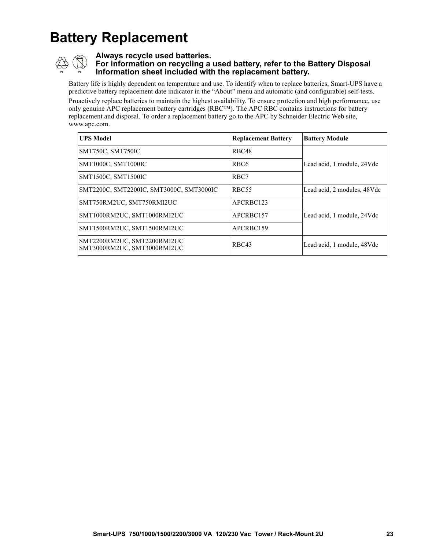## **Battery Replacement**



#### **Always recycle used batteries.**

#### **For information on recycling a used battery, refer to the Battery Disposal Information sheet included with the replacement battery.**

Battery life is highly dependent on temperature and use. To identify when to replace batteries, Smart-UPS have a predictive battery replacement date indicator in the "About" menu and automatic (and configurable) self-tests. Proactively replace batteries to maintain the highest availability. To ensure protection and high performance, use only genuine APC replacement battery cartridges (RBC™). The APC RBC contains instructions for battery replacement and disposal. To order a replacement battery go to the APC by Schneider Electric Web site, www.apc.com.

| <b>UPS Model</b>                                           | <b>Replacement Battery</b> | <b>Battery Module</b>       |  |
|------------------------------------------------------------|----------------------------|-----------------------------|--|
| SMT750C, SMT750IC                                          | RBC48                      |                             |  |
| SMT1000C, SMT1000IC                                        | RBC <sub>6</sub>           | Lead acid, 1 module, 24Vdc  |  |
| SMT1500C, SMT1500IC                                        | RBC7                       |                             |  |
| SMT2200C, SMT2200IC, SMT3000C, SMT3000IC                   | RBC <sub>55</sub>          | Lead acid, 2 modules, 48Vdc |  |
| SMT750RM2UC, SMT750RMI2UC                                  | APCRBC123                  |                             |  |
| SMT1000RM2UC, SMT1000RMI2UC                                | APCRBC157                  | Lead acid, 1 module, 24Vdc  |  |
| SMT1500RM2UC, SMT1500RMI2UC                                | APCRBC159                  |                             |  |
| SMT2200RM2UC, SMT2200RMI2UC<br>SMT3000RM2UC, SMT3000RMI2UC | RBC43                      | Lead acid, 1 module, 48Vdc  |  |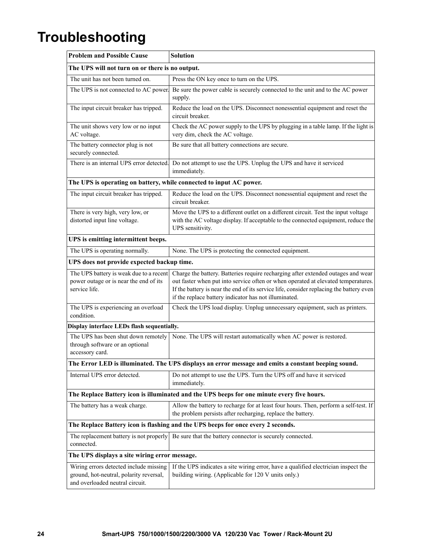### **Troubleshooting**

| <b>Problem and Possible Cause</b>                                                                                    | <b>Solution</b>                                                                                                                                                                                                                                                                                                           |  |  |
|----------------------------------------------------------------------------------------------------------------------|---------------------------------------------------------------------------------------------------------------------------------------------------------------------------------------------------------------------------------------------------------------------------------------------------------------------------|--|--|
| The UPS will not turn on or there is no output.                                                                      |                                                                                                                                                                                                                                                                                                                           |  |  |
| The unit has not been turned on.                                                                                     | Press the ON key once to turn on the UPS.                                                                                                                                                                                                                                                                                 |  |  |
| The UPS is not connected to AC power.                                                                                | Be sure the power cable is securely connected to the unit and to the AC power<br>supply.                                                                                                                                                                                                                                  |  |  |
| The input circuit breaker has tripped.                                                                               | Reduce the load on the UPS. Disconnect nonessential equipment and reset the<br>circuit breaker.                                                                                                                                                                                                                           |  |  |
| The unit shows very low or no input<br>AC voltage.                                                                   | Check the AC power supply to the UPS by plugging in a table lamp. If the light is<br>very dim, check the AC voltage.                                                                                                                                                                                                      |  |  |
| The battery connector plug is not<br>securely connected.                                                             | Be sure that all battery connections are secure.                                                                                                                                                                                                                                                                          |  |  |
|                                                                                                                      | There is an internal UPS error detected. Do not attempt to use the UPS. Unplug the UPS and have it serviced<br>immediately.                                                                                                                                                                                               |  |  |
| The UPS is operating on battery, while connected to input AC power.                                                  |                                                                                                                                                                                                                                                                                                                           |  |  |
| The input circuit breaker has tripped.                                                                               | Reduce the load on the UPS. Disconnect nonessential equipment and reset the<br>circuit breaker.                                                                                                                                                                                                                           |  |  |
| There is very high, very low, or<br>distorted input line voltage.                                                    | Move the UPS to a different outlet on a different circuit. Test the input voltage<br>with the AC voltage display. If acceptable to the connected equipment, reduce the<br>UPS sensitivity.                                                                                                                                |  |  |
| UPS is emitting intermittent beeps.                                                                                  |                                                                                                                                                                                                                                                                                                                           |  |  |
| The UPS is operating normally.                                                                                       | None. The UPS is protecting the connected equipment.                                                                                                                                                                                                                                                                      |  |  |
| UPS does not provide expected backup time.                                                                           |                                                                                                                                                                                                                                                                                                                           |  |  |
| The UPS battery is weak due to a recent<br>power outage or is near the end of its<br>service life.                   | Charge the battery. Batteries require recharging after extended outages and wear<br>out faster when put into service often or when operated at elevated temperatures.<br>If the battery is near the end of its service life, consider replacing the battery even<br>if the replace battery indicator has not illuminated. |  |  |
| The UPS is experiencing an overload<br>condition.                                                                    | Check the UPS load display. Unplug unnecessary equipment, such as printers.                                                                                                                                                                                                                                               |  |  |
| Display interface LEDs flash sequentially.                                                                           |                                                                                                                                                                                                                                                                                                                           |  |  |
| The UPS has been shut down remotely<br>through software or an optional<br>accessory card.                            | None. The UPS will restart automatically when AC power is restored.                                                                                                                                                                                                                                                       |  |  |
| The Error LED is illuminated. The UPS displays an error message and emits a constant beeping sound.                  |                                                                                                                                                                                                                                                                                                                           |  |  |
| Internal UPS error detected.                                                                                         | Do not attempt to use the UPS. Turn the UPS off and have it serviced<br>immediately.                                                                                                                                                                                                                                      |  |  |
| The Replace Battery icon is illuminated and the UPS beeps for one minute every five hours.                           |                                                                                                                                                                                                                                                                                                                           |  |  |
| The battery has a weak charge.                                                                                       | Allow the battery to recharge for at least four hours. Then, perform a self-test. If<br>the problem persists after recharging, replace the battery.                                                                                                                                                                       |  |  |
| The Replace Battery icon is flashing and the UPS beeps for once every 2 seconds.                                     |                                                                                                                                                                                                                                                                                                                           |  |  |
| The replacement battery is not properly<br>connected.                                                                | Be sure that the battery connector is securely connected.                                                                                                                                                                                                                                                                 |  |  |
| The UPS displays a site wiring error message.                                                                        |                                                                                                                                                                                                                                                                                                                           |  |  |
| Wiring errors detected include missing<br>ground, hot-neutral, polarity reversal,<br>and overloaded neutral circuit. | If the UPS indicates a site wiring error, have a qualified electrician inspect the<br>building wiring. (Applicable for 120 V units only.)                                                                                                                                                                                 |  |  |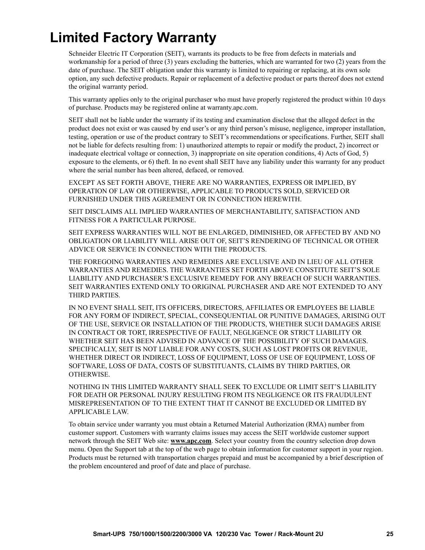### **Limited Factory Warranty**

Schneider Electric IT Corporation (SEIT), warrants its products to be free from defects in materials and workmanship for a period of three (3) years excluding the batteries, which are warranted for two (2) years from the date of purchase. The SEIT obligation under this warranty is limited to repairing or replacing, at its own sole option, any such defective products. Repair or replacement of a defective product or parts thereof does not extend the original warranty period.

This warranty applies only to the original purchaser who must have properly registered the product within 10 days of purchase. Products may be registered online at warranty.apc.com.

SEIT shall not be liable under the warranty if its testing and examination disclose that the alleged defect in the product does not exist or was caused by end user's or any third person's misuse, negligence, improper installation, testing, operation or use of the product contrary to SEIT's recommendations or specifications. Further, SEIT shall not be liable for defects resulting from: 1) unauthorized attempts to repair or modify the product, 2) incorrect or inadequate electrical voltage or connection, 3) inappropriate on site operation conditions, 4) Acts of God, 5) exposure to the elements, or 6) theft. In no event shall SEIT have any liability under this warranty for any product where the serial number has been altered, defaced, or removed.

EXCEPT AS SET FORTH ABOVE, THERE ARE NO WARRANTIES, EXPRESS OR IMPLIED, BY OPERATION OF LAW OR OTHERWISE, APPLICABLE TO PRODUCTS SOLD, SERVICED OR FURNISHED UNDER THIS AGREEMENT OR IN CONNECTION HEREWITH.

SEIT DISCLAIMS ALL IMPLIED WARRANTIES OF MERCHANTABILITY, SATISFACTION AND FITNESS FOR A PARTICULAR PURPOSE.

SEIT EXPRESS WARRANTIES WILL NOT BE ENLARGED, DIMINISHED, OR AFFECTED BY AND NO OBLIGATION OR LIABILITY WILL ARISE OUT OF, SEIT'S RENDERING OF TECHNICAL OR OTHER ADVICE OR SERVICE IN CONNECTION WITH THE PRODUCTS.

THE FOREGOING WARRANTIES AND REMEDIES ARE EXCLUSIVE AND IN LIEU OF ALL OTHER WARRANTIES AND REMEDIES. THE WARRANTIES SET FORTH ABOVE CONSTITUTE SEIT'S SOLE LIABILITY AND PURCHASER'S EXCLUSIVE REMEDY FOR ANY BREACH OF SUCH WARRANTIES. SEIT WARRANTIES EXTEND ONLY TO ORIGINAL PURCHASER AND ARE NOT EXTENDED TO ANY THIRD PARTIES.

IN NO EVENT SHALL SEIT, ITS OFFICERS, DIRECTORS, AFFILIATES OR EMPLOYEES BE LIABLE FOR ANY FORM OF INDIRECT, SPECIAL, CONSEQUENTIAL OR PUNITIVE DAMAGES, ARISING OUT OF THE USE, SERVICE OR INSTALLATION OF THE PRODUCTS, WHETHER SUCH DAMAGES ARISE IN CONTRACT OR TORT, IRRESPECTIVE OF FAULT, NEGLIGENCE OR STRICT LIABILITY OR WHETHER SEIT HAS BEEN ADVISED IN ADVANCE OF THE POSSIBILITY OF SUCH DAMAGES. SPECIFICALLY, SEIT IS NOT LIABLE FOR ANY COSTS, SUCH AS LOST PROFITS OR REVENUE, WHETHER DIRECT OR INDIRECT, LOSS OF EQUIPMENT, LOSS OF USE OF EQUIPMENT, LOSS OF SOFTWARE, LOSS OF DATA, COSTS OF SUBSTITUANTS, CLAIMS BY THIRD PARTIES, OR OTHERWISE.

NOTHING IN THIS LIMITED WARRANTY SHALL SEEK TO EXCLUDE OR LIMIT SEIT'S LIABILITY FOR DEATH OR PERSONAL INJURY RESULTING FROM ITS NEGLIGENCE OR ITS FRAUDULENT MISREPRESENTATION OF TO THE EXTENT THAT IT CANNOT BE EXCLUDED OR LIMITED BY APPLICABLE LAW.

To obtain service under warranty you must obtain a Returned Material Authorization (RMA) number from customer support. Customers with warranty claims issues may access the SEIT worldwide customer support network through the SEIT Web site: **www.apc.com**. Select your country from the country selection drop down menu. Open the Support tab at the top of the web page to obtain information for customer support in your region. Products must be returned with transportation charges prepaid and must be accompanied by a brief description of the problem encountered and proof of date and place of purchase.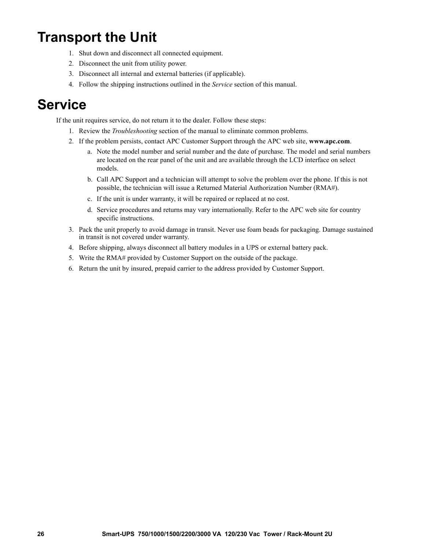### **Transport the Unit**

- 1. Shut down and disconnect all connected equipment.
- 2. Disconnect the unit from utility power.
- 3. Disconnect all internal and external batteries (if applicable).
- 4. Follow the shipping instructions outlined in the *Service* section of this manual.

### **Service**

If the unit requires service, do not return it to the dealer. Follow these steps:

- 1. Review the *Troubleshooting* section of the manual to eliminate common problems.
- 2. If the problem persists, contact APC Customer Support through the APC web site, **www.apc.com**.
	- a. Note the model number and serial number and the date of purchase. The model and serial numbers are located on the rear panel of the unit and are available through the LCD interface on select models.
	- b. Call APC Support and a technician will attempt to solve the problem over the phone. If this is not possible, the technician will issue a Returned Material Authorization Number (RMA#).
	- c. If the unit is under warranty, it will be repaired or replaced at no cost.
	- d. Service procedures and returns may vary internationally. Refer to the APC web site for country specific instructions.
- 3. Pack the unit properly to avoid damage in transit. Never use foam beads for packaging. Damage sustained in transit is not covered under warranty.
- 4. Before shipping, always disconnect all battery modules in a UPS or external battery pack.
- 5. Write the RMA# provided by Customer Support on the outside of the package.
- 6. Return the unit by insured, prepaid carrier to the address provided by Customer Support.